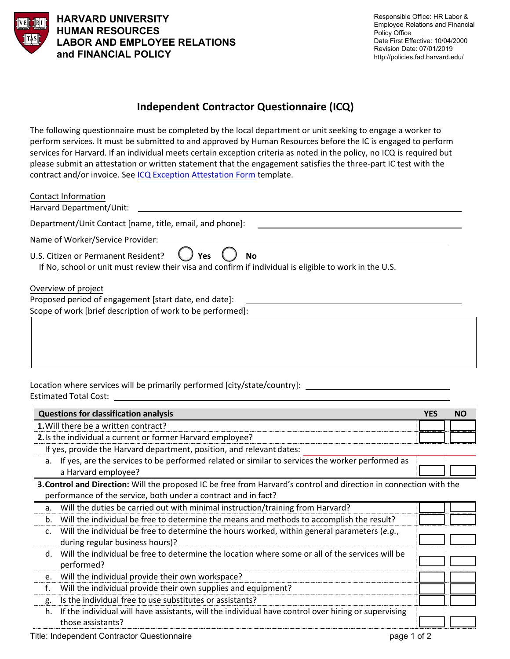

**HARVARD UNIVERSITY HUMAN RESOURCES LABOR AND EMPLOYEE RELATIONS and FINANCIAL POLICY**

## **Independent Contractor Questionnaire (ICQ)**

The following questionnaire must be completed by the local department or unit seeking to engage a worker to perform services. It must be submitted to and approved by Human Resources before the IC is engaged to perform services for Harvard. If an individual meets certain exception criteria as noted in the policy, no ICQ is required but please submit an attestation or written statement that the engagement satisfies the three-part IC test with the contract and/or invoice. See [ICQ Exception Attestation Form](https://policies.fad.harvard.edu/pages/independent-contractors) template.

| <b>Contact Information</b><br>Harvard Department/Unit:                                                                                                                   |
|--------------------------------------------------------------------------------------------------------------------------------------------------------------------------|
|                                                                                                                                                                          |
| Department/Unit Contact [name, title, email, and phone]:                                                                                                                 |
| Name of Worker/Service Provider:                                                                                                                                         |
| U.S. Citizen or Permanent Resident?<br><b>Yes</b><br><b>No</b><br>If No, school or unit must review their visa and confirm if individual is eligible to work in the U.S. |
| Overview of project                                                                                                                                                      |
| Proposed period of engagement [start date, end date]:                                                                                                                    |
| Scope of work [brief description of work to be performed]:                                                                                                               |
|                                                                                                                                                                          |
|                                                                                                                                                                          |
|                                                                                                                                                                          |

Location where services will be primarily performed [city/state/country]: \_\_\_\_\_\_\_ Estimated Total Cost:

| <b>Questions for classification analysis</b>                                                                       | <b>YES</b> | <b>NO</b> |  |
|--------------------------------------------------------------------------------------------------------------------|------------|-----------|--|
| 1. Will there be a written contract?                                                                               |            |           |  |
| 2. Is the individual a current or former Harvard employee?                                                         |            |           |  |
| If yes, provide the Harvard department, position, and relevant dates:                                              |            |           |  |
| If yes, are the services to be performed related or similar to services the worker performed as<br>a.              |            |           |  |
| a Harvard employee?                                                                                                |            |           |  |
| 3. Control and Direction: Will the proposed IC be free from Harvard's control and direction in connection with the |            |           |  |
| performance of the service, both under a contract and in fact?                                                     |            |           |  |
| Will the duties be carried out with minimal instruction/training from Harvard?<br>a.                               |            |           |  |
| Will the individual be free to determine the means and methods to accomplish the result?<br>b.                     |            |           |  |
| Will the individual be free to determine the hours worked, within general parameters (e.g.,<br>$\mathsf{C}$ .      |            |           |  |
| during regular business hours)?                                                                                    |            |           |  |
| Will the individual be free to determine the location where some or all of the services will be<br>d.              |            |           |  |
| performed?                                                                                                         |            |           |  |
| Will the individual provide their own workspace?<br>e.                                                             |            |           |  |
| f.<br>Will the individual provide their own supplies and equipment?                                                |            |           |  |
| Is the individual free to use substitutes or assistants?<br>g.                                                     |            |           |  |
| If the individual will have assistants, will the individual have control over hiring or supervising<br>h.          |            |           |  |
| those assistants?                                                                                                  |            |           |  |
|                                                                                                                    |            |           |  |